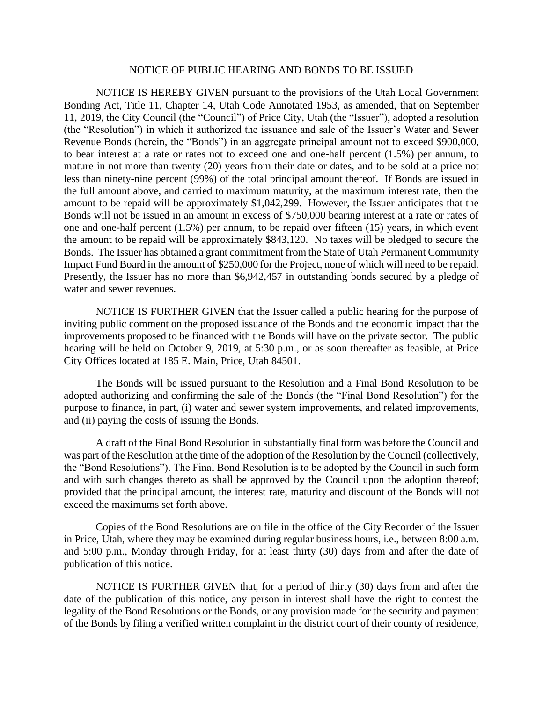## NOTICE OF PUBLIC HEARING AND BONDS TO BE ISSUED

NOTICE IS HEREBY GIVEN pursuant to the provisions of the Utah Local Government Bonding Act, Title 11, Chapter 14, Utah Code Annotated 1953, as amended, that on September 11, 2019, the City Council (the "Council") of Price City, Utah (the "Issuer"), adopted a resolution (the "Resolution") in which it authorized the issuance and sale of the Issuer's Water and Sewer Revenue Bonds (herein, the "Bonds") in an aggregate principal amount not to exceed \$900,000, to bear interest at a rate or rates not to exceed one and one-half percent (1.5%) per annum, to mature in not more than twenty (20) years from their date or dates, and to be sold at a price not less than ninety-nine percent (99%) of the total principal amount thereof. If Bonds are issued in the full amount above, and carried to maximum maturity, at the maximum interest rate, then the amount to be repaid will be approximately \$1,042,299. However, the Issuer anticipates that the Bonds will not be issued in an amount in excess of \$750,000 bearing interest at a rate or rates of one and one-half percent (1.5%) per annum, to be repaid over fifteen (15) years, in which event the amount to be repaid will be approximately \$843,120. No taxes will be pledged to secure the Bonds. The Issuer has obtained a grant commitment from the State of Utah Permanent Community Impact Fund Board in the amount of \$250,000 for the Project, none of which will need to be repaid. Presently, the Issuer has no more than \$6,942,457 in outstanding bonds secured by a pledge of water and sewer revenues.

NOTICE IS FURTHER GIVEN that the Issuer called a public hearing for the purpose of inviting public comment on the proposed issuance of the Bonds and the economic impact that the improvements proposed to be financed with the Bonds will have on the private sector. The public hearing will be held on October 9, 2019, at 5:30 p.m., or as soon thereafter as feasible, at Price City Offices located at 185 E. Main, Price, Utah 84501.

The Bonds will be issued pursuant to the Resolution and a Final Bond Resolution to be adopted authorizing and confirming the sale of the Bonds (the "Final Bond Resolution") for the purpose to finance, in part, (i) water and sewer system improvements, and related improvements, and (ii) paying the costs of issuing the Bonds.

A draft of the Final Bond Resolution in substantially final form was before the Council and was part of the Resolution at the time of the adoption of the Resolution by the Council (collectively, the "Bond Resolutions"). The Final Bond Resolution is to be adopted by the Council in such form and with such changes thereto as shall be approved by the Council upon the adoption thereof; provided that the principal amount, the interest rate, maturity and discount of the Bonds will not exceed the maximums set forth above.

Copies of the Bond Resolutions are on file in the office of the City Recorder of the Issuer in Price, Utah, where they may be examined during regular business hours, i.e., between 8:00 a.m. and 5:00 p.m., Monday through Friday, for at least thirty (30) days from and after the date of publication of this notice.

NOTICE IS FURTHER GIVEN that, for a period of thirty (30) days from and after the date of the publication of this notice, any person in interest shall have the right to contest the legality of the Bond Resolutions or the Bonds, or any provision made for the security and payment of the Bonds by filing a verified written complaint in the district court of their county of residence,